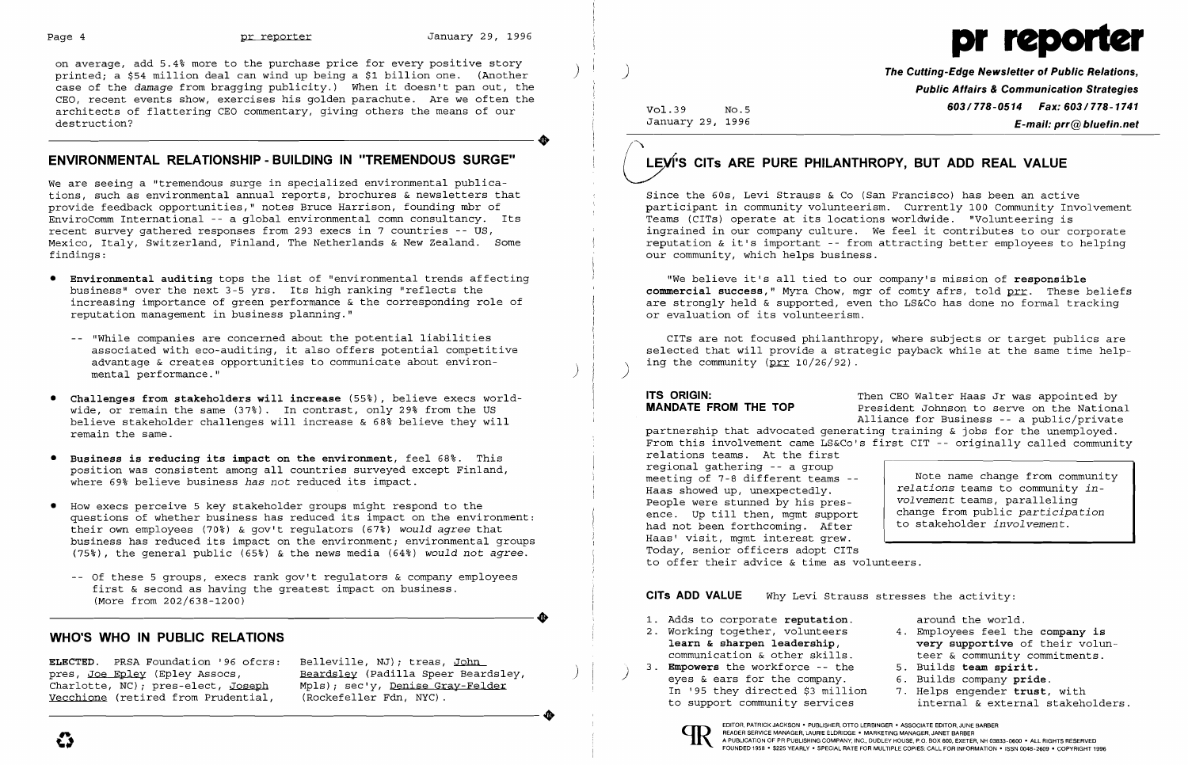

on average, add 5.4% more to the purchase price for every positive story printed; a \$54 million deal can wind up being a \$1 billion one. (Another ) ) **The Cutting-Edge Newsletter of Public Relations,** case of the *damage* from bragging publicity.) When it doesn't pan out, the **Public Affairs & Communication Strategies**  CEO, recent events show, exercises his golden parachute. Are we often the architects of flattering CEO commentary, giving others the means of our Vol.39 No.5 **603/778-0514 Fax: 603/778-1741**<br>destruction? **E-mail: prr** (@ bluefin.net destruction? **E-mail: prr@bluefin.net** January 29, 1996 ENVIRONMENTAL RELATIONSHIP - BUILDING IN "TREMENDOUS SURGE" (NEW'S CITS ARE PURE PHILANTHROPY, BUT ADD REAL VALUE

We are seeing a "tremendous surge in specialized environmental publications, such as environmental annual reports, brochures & newsletters that Since the 60s, Levi Strauss & Co (San Francisco) has been an active<br>Since the 60s, Levi Strauss & Co (San Francisco) has been an active to particula EnviroComm International -- a global environmental comn consultancy. Its recent survey gathered responses from 293 execs in 7 countries -- US,

- Environmental auditing tops the list of "environmental trends affecting "We believe it's all tied to our company's mission of responsible<br>business" over the next 3-5 yrs. Its high ranking "reflects the """"" commercial s reputation management in business planning."
	- advantage & creates opportunities to communicate about environ-<br>mental performance." (  $\qquad \qquad$  )  $\qquad$  ) ing the community (prr 10/26/92).
- Challenges from stakeholders will increase (55%), believe execs world-<br>WANDATE FROM THE TOP President Johnson to serve on the National Waller Mander or remain the same (37%) In contrast, only 29% from the US wide, or remain the same (37%). In contrast, only 29% from the US **MANDATE FROM THE TOP** President Johnson to serve on the National proportional proportional proportional proportional proportional contrast of the National believe stakeholder challenges will increase & 68% believe they will remain the same.
- Business is reducing its impact on the environment, feel 68%. This position was consistent among all countries surveyed except Finland,
- How execs perceive 5 key stakeholder groups might respond to the questions of whether business has reduced its impact on the environment: their own employees (70%) & gov't regulators (67%) would *agree* that business has reduced its impact on the environment; environmental groups and the same Haas' visit, mgmt interest grew.<br>(75%) the general public (65%) & the news media (64%) would not agree and the Hoday, senior officers ad (75%), the general public (65%) & the news media (64%) would not *agree*.
- -- Of these 5 groups, execs rank gov't regulators & company employees first & second as having the greatest impact on business.<br>(More from  $202/638 - 1200$ ) First & second as having the greatest impact on business.<br>
(More from 202/638-1200)<br>
CITS ADD VALUE Why Levi Strauss stresses the activity:<br>
1. Adds to corporate reputation. around the world.<br>
2. Working together, voluntee

# **ENVIRONMENTAL RELATIONSHIP - BUILDING IN "TREMENDOUS SURGE"**

partnership that advocated generating training  $\&$  jobs for the unemployed. From this involvement came LS&Co's first CIT -- originally called community relations teams. At the first where 69% believe business *has not* reduced its impact.<br>Where 69% believe business *has not* reduced its impact. *relations* teams to community *in*regional gathering -- a group meeting of 7-8 different teams Haas showed up, unexpectedly. *volvement* teams, paralleling change from public *participation*  to stakeholder *involvement.*  People were stunned by his presence. Up till then, mgmt support had not been forthcoming. After<br>Haas' visit, mgmt interest grew. to offer their advice & time as volunteers.

CITs ADD VALUE Why Levi Strauss stresses the activity:

ELECTED. PRSA Foundation '96 ofcrs: pres, Joe Epley (Epley Assocs, Charlotte, NC); pres-elect, Joseph Vecchione (retired from Prudential, pres, <u>bee spicy</u> (spicy Assocs,<br>Charlotte, NC); pres-elect, Joseph Mpls); sec'y, <u>Denise Gray-Felder</u><br>Vecchione (retired from Prudential, (Rockefeller Fdn, NYC).

Belleville, NJ); treas, John Beardsley (Padilla Speer Beardsley, Mpls); sec'y, Denise Gray-Felder (Rockefeller Fdn, NYC).

participant in community volunteerism. Currently 100 Community Involvement<br>Teams (CITs) operate at its locations worldwide. "Volunteering is recent survey gathered responses from 293 execs in 7 countries -- US,<br>Mexico, Italy, Switzerland, Finland, The Netherlands & New Zealand. Some the substraction of the important -- from attracting better employees to helpin Mexico, Italy, Switzerland, Finland, The Netherlands & New Zealand. Some reputation & it's important -- from attracting better employees to helping<br>findings: entity our community, which helps business. our community, which helps business.

business" over the next 3-5 yrs. Its high ranking "reflects the entitled the commercial success," Myra Chow, mgr of comty afrs, told <u>prr</u>. These beliefs<br>increasing importance of green performance & the corresponding role are strongly held & supported, even tho LS&Co has done no formal tracking or evaluation of its volunteerism.

-- "While companies are concerned about the potential liabilities [1] [1] CITs are not focused philanthropy, where subjects or target publics are<br>-associated with eco-auditing, it also offers potential competitive [1] sele selected that will provide a strategic payback while at the same time help-<br>ing the community (prr  $10/26/92$ ).

- around the world.<br>4. Employees feel the company is very supportive of their volunteer & community commitments.
- 5. Builds team spirit.
- 6. Builds company pride.
- 7. Helps engender trust, with internal & external stakeholders.
- 
- **WHO'S WHO IN PUBLIC RELATIONS** 2. Working together, volunteers learn & sharpen leadership, communication & other skills.
	- 3. Empowers the workforce the eyes & ears for the company. In '95 they directed \$3 million to support community services



) )